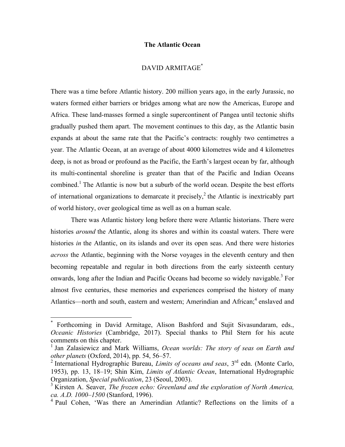#### **The Atlantic Ocean**

# DAVID ARMITAGE\*

There was a time before Atlantic history. 200 million years ago, in the early Jurassic, no waters formed either barriers or bridges among what are now the Americas, Europe and Africa. These land-masses formed a single supercontinent of Pangea until tectonic shifts gradually pushed them apart. The movement continues to this day, as the Atlantic basin expands at about the same rate that the Pacific's contracts: roughly two centimetres a year. The Atlantic Ocean, at an average of about 4000 kilometres wide and 4 kilometres deep, is not as broad or profound as the Pacific, the Earth's largest ocean by far, although its multi-continental shoreline is greater than that of the Pacific and Indian Oceans combined.<sup>1</sup> The Atlantic is now but a suburb of the world ocean. Despite the best efforts of international organizations to demarcate it precisely,<sup>2</sup> the Atlantic is inextricably part of world history, over geological time as well as on a human scale.

There was Atlantic history long before there were Atlantic historians. There were histories *around* the Atlantic, along its shores and within its coastal waters. There were histories *in* the Atlantic, on its islands and over its open seas. And there were histories *across* the Atlantic, beginning with the Norse voyages in the eleventh century and then becoming repeatable and regular in both directions from the early sixteenth century onwards, long after the Indian and Pacific Oceans had become so widely navigable.<sup>3</sup> For almost five centuries, these memories and experiences comprised the history of many Atlantics—north and south, eastern and western; Amerindian and African;<sup>4</sup> enslaved and

Forthcoming in David Armitage, Alison Bashford and Sujit Sivasundaram, eds., *Oceanic Histories* (Cambridge, 2017). Special thanks to Phil Stern for his acute comments on this chapter.

<sup>1</sup> Jan Zalasiewicz and Mark Williams, *Ocean worlds: The story of seas on Earth and other planets* (Oxford, 2014), pp. 54, 56–57.

<sup>&</sup>lt;sup>2</sup> International Hydrographic Bureau, *Limits of oceans and seas*, 3<sup>rd</sup> edn. (Monte Carlo, 1953), pp. 13, 18–19; Shin Kim, *Limits of Atlantic Ocean*, International Hydrographic Organization, *Special publication*, 23 (Seoul, 2003).

<sup>3</sup> Kirsten A. Seaver, *The frozen echo: Greenland and the exploration of North America, ca. A.D. 1000–1500* (Stanford, 1996).

<sup>4</sup> Paul Cohen, 'Was there an Amerindian Atlantic? Reflections on the limits of a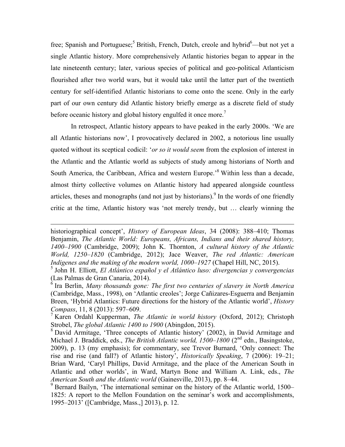free; Spanish and Portuguese;<sup>5</sup> British, French, Dutch, creole and hybrid<sup>6</sup>—but not yet a single Atlantic history. More comprehensively Atlantic histories began to appear in the late nineteenth century; later, various species of political and geo-political Atlanticism flourished after two world wars, but it would take until the latter part of the twentieth century for self-identified Atlantic historians to come onto the scene. Only in the early part of our own century did Atlantic history briefly emerge as a discrete field of study before oceanic history and global history engulfed it once more.<sup>7</sup>

In retrospect, Atlantic history appears to have peaked in the early 2000s. 'We are all Atlantic historians now', I provocatively declared in 2002, a notorious line usually quoted without its sceptical codicil: '*or so it would seem* from the explosion of interest in the Atlantic and the Atlantic world as subjects of study among historians of North and South America, the Caribbean, Africa and western Europe.'<sup>8</sup> Within less than a decade, almost thirty collective volumes on Atlantic history had appeared alongside countless articles, theses and monographs (and not just by historians).<sup>9</sup> In the words of one friendly critic at the time, Atlantic history was 'not merely trendy, but … clearly winning the

<u> 1989 - Andrea San Andrea San Andrea San Andrea San Andrea San Andrea San Andrea San Andrea San Andrea San An</u>

historiographical concept', *History of European Ideas*, 34 (2008): 388–410; Thomas Benjamin, *The Atlantic World: Europeans, Africans, Indians and their shared history, 1400–1900* (Cambridge, 2009); John K. Thornton, *A cultural history of the Atlantic World, 1250–1820* (Cambridge, 2012); Jace Weaver, *The red Atlantic: American Indigenes and the making of the modern world, 1000–1927* (Chapel Hill, NC, 2015).

<sup>5</sup> John H. Elliott, *El Atlántico español y el Atlántico luso: divergencias y convergencias* (Las Palmas de Gran Canaria, 2014).

<sup>6</sup> Ira Berlin, *Many thousands gone: The first two centuries of slavery in North America*  (Cambridge, Mass., 1998), on 'Atlantic creoles'; Jorge Cañizares-Esguerra and Benjamin Breen, 'Hybrid Atlantics: Future directions for the history of the Atlantic world', *History Compass*, 11, 8 (2013): 597–609.

<sup>7</sup> Karen Ordahl Kupperman, *The Atlantic in world history* (Oxford, 2012); Christoph Strobel, *The global Atlantic 1400 to 1900* (Abingdon, 2015).

<sup>8</sup> David Armitage, 'Three concepts of Atlantic history' (2002), in David Armitage and Michael J. Braddick, eds., *The British Atlantic world, 1500–1800* (2<sup>nd</sup> edn., Basingstoke, 2009), p. 13 (my emphasis); for commentary, see Trevor Burnard, 'Only connect: The rise and rise (and fall?) of Atlantic history', *Historically Speaking*, 7 (2006): 19–21; Brian Ward, 'Caryl Phillips, David Armitage, and the place of the American South in Atlantic and other worlds', in Ward, Martyn Bone and William A. Link, eds., *The American South and the Atlantic world* (Gainesville, 2013), pp. 8–44.

 $9$  Bernard Bailyn, 'The international seminar on the history of the Atlantic world, 1500– 1825: A report to the Mellon Foundation on the seminar's work and accomplishments, 1995–2013' ([Cambridge, Mass.,] 2013), p. 12.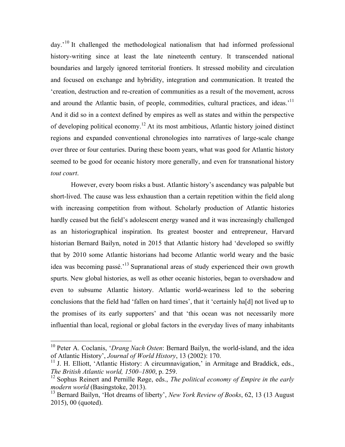day.'<sup>10</sup> It challenged the methodological nationalism that had informed professional history-writing since at least the late nineteenth century. It transcended national boundaries and largely ignored territorial frontiers. It stressed mobility and circulation and focused on exchange and hybridity, integration and communication. It treated the 'creation, destruction and re-creation of communities as a result of the movement, across and around the Atlantic basin, of people, commodities, cultural practices, and ideas.<sup>'11</sup> And it did so in a context defined by empires as well as states and within the perspective of developing political economy.<sup>12</sup> At its most ambitious, Atlantic history joined distinct regions and expanded conventional chronologies into narratives of large-scale change over three or four centuries. During these boom years, what was good for Atlantic history seemed to be good for oceanic history more generally, and even for transnational history *tout court*.

However, every boom risks a bust. Atlantic history's ascendancy was palpable but short-lived. The cause was less exhaustion than a certain repetition within the field along with increasing competition from without. Scholarly production of Atlantic histories hardly ceased but the field's adolescent energy waned and it was increasingly challenged as an historiographical inspiration. Its greatest booster and entrepreneur, Harvard historian Bernard Bailyn, noted in 2015 that Atlantic history had 'developed so swiftly that by 2010 some Atlantic historians had become Atlantic world weary and the basic idea was becoming passé.'<sup>13</sup> Supranational areas of study experienced their own growth spurts. New global histories, as well as other oceanic histories, began to overshadow and even to subsume Atlantic history. Atlantic world-weariness led to the sobering conclusions that the field had 'fallen on hard times', that it 'certainly ha[d] not lived up to the promises of its early supporters' and that 'this ocean was not necessarily more influential than local, regional or global factors in the everyday lives of many inhabitants

 <sup>10</sup> Peter A. Coclanis, '*Drang Nach Osten*: Bernard Bailyn, the world-island, and the idea of Atlantic History', *Journal of World History*, 13 (2002): 170.

 $11$  J. H. Elliott, 'Atlantic History: A circumnavigation,' in Armitage and Braddick, eds., *The British Atlantic world, 1500–1800*, p. 259.

<sup>12</sup> Sophus Reinert and Pernille Røge, eds., *The political economy of Empire in the early modern world* (Basingstoke, 2013).

<sup>13</sup> Bernard Bailyn, 'Hot dreams of liberty', *New York Review of Books*, 62, 13 (13 August 2015), 00 (quoted).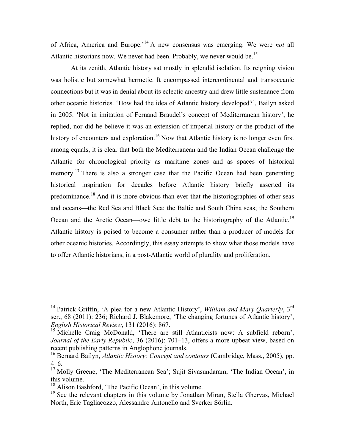of Africa, America and Europe.'<sup>14</sup> A new consensus was emerging. We were *not* all Atlantic historians now. We never had been. Probably, we never would be.<sup>15</sup>

At its zenith, Atlantic history sat mostly in splendid isolation. Its reigning vision was holistic but somewhat hermetic. It encompassed intercontinental and transoceanic connections but it was in denial about its eclectic ancestry and drew little sustenance from other oceanic histories. 'How had the idea of Atlantic history developed?', Bailyn asked in 2005. 'Not in imitation of Fernand Braudel's concept of Mediterranean history', he replied, nor did he believe it was an extension of imperial history or the product of the history of encounters and exploration.<sup>16</sup> Now that Atlantic history is no longer even first among equals, it is clear that both the Mediterranean and the Indian Ocean challenge the Atlantic for chronological priority as maritime zones and as spaces of historical memory.<sup>17</sup> There is also a stronger case that the Pacific Ocean had been generating historical inspiration for decades before Atlantic history briefly asserted its predominance.<sup>18</sup> And it is more obvious than ever that the historiographies of other seas and oceans—the Red Sea and Black Sea; the Baltic and South China seas; the Southern Ocean and the Arctic Ocean—owe little debt to the historiography of the Atlantic.<sup>19</sup> Atlantic history is poised to become a consumer rather than a producer of models for other oceanic histories. Accordingly, this essay attempts to show what those models have to offer Atlantic historians, in a post-Atlantic world of plurality and proliferation.

<sup>&</sup>lt;sup>14</sup> Patrick Griffin, 'A plea for a new Atlantic History', *William and Mary Quarterly*, 3<sup>rd</sup> ser., 68 (2011): 236; Richard J. Blakemore, 'The changing fortunes of Atlantic history', *English Historical Review*, 131 (2016): 867.

<sup>&</sup>lt;sup>15</sup> Michelle Craig McDonald, 'There are still Atlanticists now: A subfield reborn', *Journal of the Early Republic*, 36 (2016): 701–13, offers a more upbeat view, based on recent publishing patterns in Anglophone journals.

<sup>16</sup> Bernard Bailyn, *Atlantic History: Concept and contours* (Cambridge, Mass., 2005), pp. 4–6.

<sup>&</sup>lt;sup>17</sup> Molly Greene, 'The Mediterranean Sea'; Sujit Sivasundaram, 'The Indian Ocean', in this volume.

<sup>&</sup>lt;sup>18</sup> Alison Bashford, 'The Pacific Ocean', in this volume.

 $19$  See the relevant chapters in this volume by Jonathan Miran, Stella Ghervas, Michael North, Eric Tagliacozzo, Alessandro Antonello and Sverker Sörlin.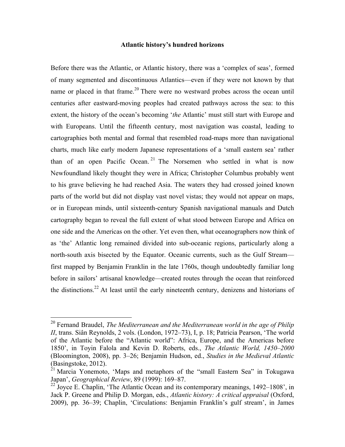#### **Atlantic history's hundred horizons**

Before there was the Atlantic, or Atlantic history, there was a 'complex of seas', formed of many segmented and discontinuous Atlantics—even if they were not known by that name or placed in that frame.<sup>20</sup> There were no westward probes across the ocean until centuries after eastward-moving peoples had created pathways across the sea: to this extent, the history of the ocean's becoming '*the* Atlantic' must still start with Europe and with Europeans. Until the fifteenth century, most navigation was coastal, leading to cartographies both mental and formal that resembled road-maps more than navigational charts, much like early modern Japanese representations of a 'small eastern sea' rather than of an open Pacific Ocean.<sup>21</sup> The Norsemen who settled in what is now Newfoundland likely thought they were in Africa; Christopher Columbus probably went to his grave believing he had reached Asia. The waters they had crossed joined known parts of the world but did not display vast novel vistas; they would not appear on maps, or in European minds, until sixteenth-century Spanish navigational manuals and Dutch cartography began to reveal the full extent of what stood between Europe and Africa on one side and the Americas on the other. Yet even then, what oceanographers now think of as 'the' Atlantic long remained divided into sub-oceanic regions, particularly along a north-south axis bisected by the Equator. Oceanic currents, such as the Gulf Stream first mapped by Benjamin Franklin in the late 1760s, though undoubtedly familiar long before in sailors' artisanal knowledge—created routes through the ocean that reinforced the distinctions.<sup>22</sup> At least until the early nineteenth century, denizens and historians of

 <sup>20</sup> Fernand Braudel, *The Mediterranean and the Mediterranean world in the age of Philip II*, trans. Siân Reynolds, 2 vols. (London, 1972–73), I, p. 18; Patricia Pearson, 'The world of the Atlantic before the "Atlantic world": Africa, Europe, and the Americas before 1850', in Toyin Falola and Kevin D. Roberts, eds., *The Atlantic World, 1450–2000* (Bloomington, 2008), pp. 3–26; Benjamin Hudson, ed., *Studies in the Medieval Atlantic*  (Basingstoke, 2012).

 $21$  Marcia Yonemoto, 'Maps and metaphors of the "small Eastern Sea" in Tokugawa Japan', *Geographical Review*, 89 (1999): 169–87.

 $22 \text{ Joyce}$  E. Chaplin, 'The Atlantic Ocean and its contemporary meanings, 1492–1808', in Jack P. Greene and Philip D. Morgan, eds., *Atlantic history: A critical appraisal* (Oxford, 2009), pp. 36–39; Chaplin, 'Circulations: Benjamin Franklin's gulf stream', in James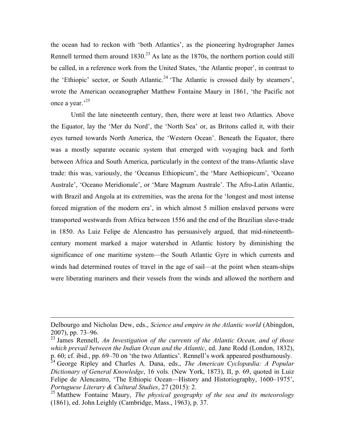the ocean had to reckon with 'both Atlantics', as the pioneering hydrographer James Rennell termed them around  $1830<sup>23</sup>$  As late as the 1870s, the northern portion could still be called, in a reference work from the United States, 'the Atlantic proper', in contrast to the 'Ethiopic' sector, or South Atlantic.<sup>24</sup> 'The Atlantic is crossed daily by steamers', wrote the American oceanographer Matthew Fontaine Maury in 1861, 'the Pacific not once a year.'<sup>25</sup>

Until the late nineteenth century, then, there were at least two Atlantics. Above the Equator, lay the 'Mer du Nord', the 'North Sea' or, as Britons called it, with their eyes turned towards North America, the 'Western Ocean'. Beneath the Equator, there was a mostly separate oceanic system that emerged with voyaging back and forth between Africa and South America, particularly in the context of the trans-Atlantic slave trade: this was, variously, the 'Oceanus Ethiopicum', the 'Mare Aethiopicum', 'Oceano Australe', 'Oceano Meridionale', or 'Mare Magnum Australe'. The Afro-Latin Atlantic, with Brazil and Angola at its extremities, was the arena for the 'longest and most intense forced migration of the modern era', in which almost 5 million enslaved persons were transported westwards from Africa between 1556 and the end of the Brazilian slave-trade in 1850. As Luiz Felipe de Alencastro has persuasively argued, that mid-nineteenthcentury moment marked a major watershed in Atlantic history by diminishing the significance of one maritime system—the South Atlantic Gyre in which currents and winds had determined routes of travel in the age of sail—at the point when steam-ships were liberating mariners and their vessels from the winds and allowed the northern and

<u> 1989 - Andrea Santa Andrea Andrea Andrea Andrea Andrea Andrea Andrea Andrea Andrea Andrea Andrea Andrea Andr</u>

Delbourgo and Nicholas Dew, eds., *Science and empire in the Atlantic world* (Abingdon, 2007), pp. 73–96.

<sup>23</sup> James Rennell, *An Investigation of the currents of the Atlantic Ocean, and of those which prevail between the Indian Ocean and the Atlantic*, ed. Jane Rodd (London, 1832), p. 60; cf. ibid., pp. 69–70 on 'the two Atlantics'. Rennell's work appeared posthumously.

<sup>24</sup> George Ripley and Charles A. Dana, eds., *The American Cyclopædia: A Popular Dictionary of General Knowledge*, 16 vols. (New York, 1873), II, p. 69, quoted in Luiz Felipe de Alencastro, 'The Ethiopic Ocean—History and Historiography, 1600–1975', *Portuguese Literary & Cultural Studies*, 27 (2015): 2.

<sup>25</sup> Matthew Fontaine Maury, *The physical geography of the sea and its meteorology* (1861), ed. John Leighly (Cambridge, Mass., 1963), p. 37.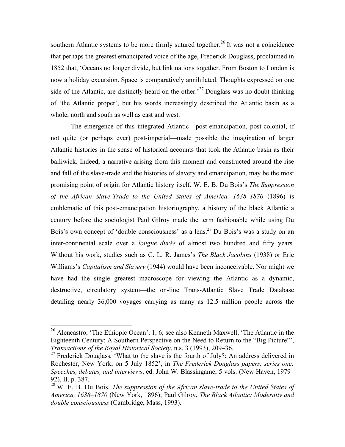southern Atlantic systems to be more firmly sutured together.<sup>26</sup> It was not a coincidence that perhaps the greatest emancipated voice of the age, Frederick Douglass, proclaimed in 1852 that, 'Oceans no longer divide, but link nations together. From Boston to London is now a holiday excursion. Space is comparatively annihilated. Thoughts expressed on one side of the Atlantic, are distinctly heard on the other.<sup>27</sup> Douglass was no doubt thinking of 'the Atlantic proper', but his words increasingly described the Atlantic basin as a whole, north and south as well as east and west.

The emergence of this integrated Atlantic—post-emancipation, post-colonial, if not quite (or perhaps ever) post-imperial—made possible the imagination of larger Atlantic histories in the sense of historical accounts that took the Atlantic basin as their bailiwick. Indeed, a narrative arising from this moment and constructed around the rise and fall of the slave-trade and the histories of slavery and emancipation, may be the most promising point of origin for Atlantic history itself. W. E. B. Du Bois's *The Suppression of the African Slave-Trade to the United States of America, 1638–1870* (1896) is emblematic of this post-emancipation historiography, a history of the black Atlantic a century before the sociologist Paul Gilroy made the term fashionable while using Du Bois's own concept of 'double consciousness' as a lens.<sup>28</sup> Du Bois's was a study on an inter-continental scale over a *longue durée* of almost two hundred and fifty years. Without his work, studies such as C. L. R. James's *The Black Jacobins* (1938) or Eric Williams's *Capitalism and Slavery* (1944) would have been inconceivable. Nor might we have had the single greatest macroscope for viewing the Atlantic as a dynamic, destructive, circulatory system—the on-line Trans-Atlantic Slave Trade Database detailing nearly 36,000 voyages carrying as many as 12.5 million people across the

<sup>&</sup>lt;sup>26</sup> Alencastro, 'The Ethiopic Ocean', 1, 6; see also Kenneth Maxwell, 'The Atlantic in the Eighteenth Century: A Southern Perspective on the Need to Return to the "Big Picture"', *Transactions of the Royal Historical Society*, n.s. 3 (1993), 209–36.

 $27$  Frederick Douglass, 'What to the slave is the fourth of July?: An address delivered in Rochester, New York, on 5 July 1852', in *The Frederick Douglass papers, series one: Speeches, debates, and interviews*, ed. John W. Blassingame, 5 vols. (New Haven, 1979– 92), II, p. 387.

<sup>28</sup> W. E. B. Du Bois, *The suppression of the African slave-trade to the United States of America, 1638–1870* (New York, 1896); Paul Gilroy, *The Black Atlantic: Modernity and double consciousness* (Cambridge, Mass, 1993).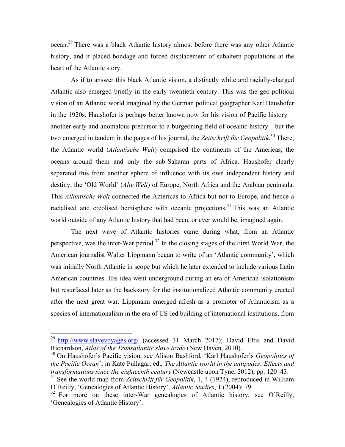ocean.29 There was a black Atlantic history almost before there was any other Atlantic history, and it placed bondage and forced displacement of subaltern populations at the heart of the Atlantic story.

As if to answer this black Atlantic vision, a distinctly white and racially-charged Atlantic also emerged briefly in the early twentieth century. This was the geo-political vision of an Atlantic world imagined by the German political geographer Karl Haushofer in the 1920s. Haushofer is perhaps better known now for his vision of Pacific history another early and anomalous precursor to a burgeoning field of oceanic history—but the two emerged in tandem in the pages of his journal, the *Zeitschrift für Geopolitik*. <sup>30</sup> There, the Atlantic world (*Atlantische Welt*) comprised the continents of the Americas, the oceans around them and only the sub-Saharan parts of Africa. Haushofer clearly separated this from another sphere of influence with its own independent history and destiny, the 'Old World' (*Alte Welt*) of Europe, North Africa and the Arabian peninsula. This *Atlantische Welt* connected the Americas to Africa but not to Europe, and hence a racialised and creolised hemisphere with oceanic projections.<sup>31</sup> This was an Atlantic world outside of any Atlantic history that had been, or ever would be, imagined again.

The next wave of Atlantic histories came during what, from an Atlantic perspective, was the inter-War period.<sup>32</sup> In the closing stages of the First World War, the American journalist Walter Lippmann began to write of an 'Atlantic community', which was initially North Atlantic in scope but which he later extended to include various Latin American countries. His idea went underground during an era of American isolationism but resurfaced later as the backstory for the institutionalized Atlantic community erected after the next great war. Lippmann emerged afresh as a promoter of Atlanticism as a species of internationalism in the era of US-led building of international institutions, from

 $^{29}$  http://www.slavevoyages.org/ (accessed 31 March 2017); David Eltis and David Richardson, *Atlas of the Transatlantic slave trade* (New Haven, 2010).

<sup>30</sup> On Haushofer's Pacific vision, see Alison Bashford, 'Karl Haushofer's *Geopolitics of the Pacific Ocean*', in Kate Fullagar, ed., *The Atlantic world in the antipodes: Effects and transformations since the eighteenth century* (Newcastle upon Tyne, 2012), pp. 120–43.

<sup>&</sup>lt;sup>31</sup> See the world map from *Zeitschrift für Geopolitik*, 1, 4 (1924), reproduced in William O'Reilly, 'Genealogies of Atlantic History', *Atlantic Studies*, 1 (2004): 79.

<sup>&</sup>lt;sup>32</sup> For more on these inter-War genealogies of Atlantic history, see O'Reilly, 'Genealogies of Atlantic History'.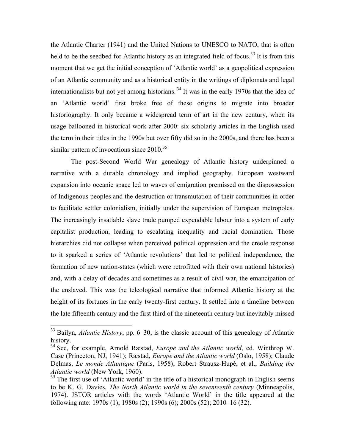the Atlantic Charter (1941) and the United Nations to UNESCO to NATO, that is often held to be the seedbed for Atlantic history as an integrated field of focus.<sup>33</sup> It is from this moment that we get the initial conception of 'Atlantic world' as a geopolitical expression of an Atlantic community and as a historical entity in the writings of diplomats and legal internationalists but not yet among historians. <sup>34</sup> It was in the early 1970s that the idea of an 'Atlantic world' first broke free of these origins to migrate into broader historiography. It only became a widespread term of art in the new century, when its usage ballooned in historical work after 2000: six scholarly articles in the English used the term in their titles in the 1990s but over fifty did so in the 2000s, and there has been a similar pattern of invocations since  $2010^{35}$ 

The post-Second World War genealogy of Atlantic history underpinned a narrative with a durable chronology and implied geography. European westward expansion into oceanic space led to waves of emigration premissed on the dispossession of Indigenous peoples and the destruction or transmutation of their communities in order to facilitate settler colonialism, initially under the supervision of European metropoles. The increasingly insatiable slave trade pumped expendable labour into a system of early capitalist production, leading to escalating inequality and racial domination. Those hierarchies did not collapse when perceived political oppression and the creole response to it sparked a series of 'Atlantic revolutions' that led to political independence, the formation of new nation-states (which were retrofitted with their own national histories) and, with a delay of decades and sometimes as a result of civil war, the emancipation of the enslaved. This was the teleological narrative that informed Atlantic history at the height of its fortunes in the early twenty-first century. It settled into a timeline between the late fifteenth century and the first third of the nineteenth century but inevitably missed

 <sup>33</sup> Bailyn, *Atlantic History*, pp. 6–30, is the classic account of this genealogy of Atlantic history.

<sup>34</sup> See, for example, Arnold Ræstad, *Europe and the Atlantic world*, ed. Winthrop W. Case (Princeton, NJ, 1941); Ræstad, *Europe and the Atlantic world* (Oslo, 1958); Claude Delmas, *Le monde Atlantique* (Paris, 1958); Robert Strausz-Hupé, et al., *Building the Atlantic world* (New York, 1960).

 $35$  The first use of 'Atlantic world' in the title of a historical monograph in English seems to be K. G. Davies, *The North Atlantic world in the seventeenth century* (Minneapolis, 1974). JSTOR articles with the words 'Atlantic World' in the title appeared at the following rate: 1970s (1); 1980s (2); 1990s (6); 2000s (52); 2010–16 (32).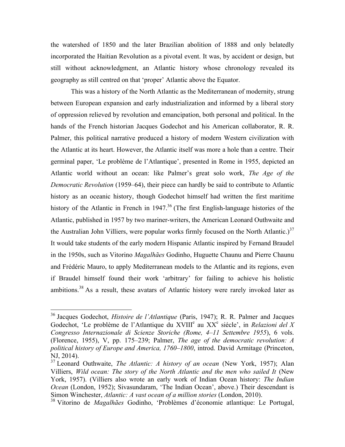the watershed of 1850 and the later Brazilian abolition of 1888 and only belatedly incorporated the Haitian Revolution as a pivotal event. It was, by accident or design, but still without acknowledgment, an Atlantic history whose chronology revealed its geography as still centred on that 'proper' Atlantic above the Equator.

This was a history of the North Atlantic as the Mediterranean of modernity, strung between European expansion and early industrialization and informed by a liberal story of oppression relieved by revolution and emancipation, both personal and political. In the hands of the French historian Jacques Godechot and his American collaborator, R. R. Palmer, this political narrative produced a history of modern Western civilization with the Atlantic at its heart. However, the Atlantic itself was more a hole than a centre. Their germinal paper, 'Le problème de l'Atlantique', presented in Rome in 1955, depicted an Atlantic world without an ocean: like Palmer's great solo work, *The Age of the Democratic Revolution* (1959–64), their piece can hardly be said to contribute to Atlantic history as an oceanic history, though Godechot himself had written the first maritime history of the Atlantic in French in 1947.<sup>36</sup> (The first English-language histories of the Atlantic, published in 1957 by two mariner-writers, the American Leonard Outhwaite and the Australian John Villiers, were popular works firmly focused on the North Atlantic.)<sup>37</sup> It would take students of the early modern Hispanic Atlantic inspired by Fernand Braudel in the 1950s, such as Vitorino *Magalhães* Godinho, Huguette Chaunu and Pierre Chaunu and Frédéric Mauro, to apply Mediterranean models to the Atlantic and its regions, even if Braudel himself found their work 'arbitrary' for failing to achieve his holistic ambitions.<sup>38</sup> As a result, these avatars of Atlantic history were rarely invoked later as

 <sup>36</sup> Jacques Godechot, *Histoire de l'Atlantique* (Paris, 1947); R. R. Palmer and Jacques Godechot, 'Le problème de l'Atlantique du XVIII<sup>e</sup> au XX<sup>e</sup> siécle', in *Relazioni del X Congresso Internazionale di Scienze Storiche (Rome, 4–11 Settembre 1955*), 6 vols. (Florence, 1955), V, pp. 175–239; Palmer, *The age of the democratic revolution: A political history of Europe and America, 1760–1800*, introd. David Armitage (Princeton, NJ, 2014).

<sup>37</sup> Leonard Outhwaite, *The Atlantic: A history of an ocean* (New York, 1957); Alan Villiers, *Wild ocean: The story of the North Atlantic and the men who sailed It* (New York, 1957). (Villiers also wrote an early work of Indian Ocean history: *The Indian Ocean* (London, 1952); Sivasundaram, 'The Indian Ocean', above.) Their descendant is Simon Winchester, *Atlantic: A vast ocean of a million stories* (London, 2010).

<sup>38</sup> Vitorino de *Magalhães* Godinho, 'Problèmes d'économie atlantique: Le Portugal,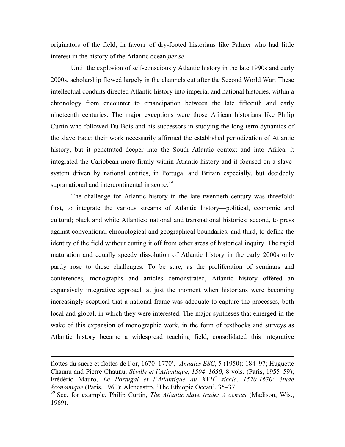originators of the field, in favour of dry-footed historians like Palmer who had little interest in the history of the Atlantic ocean *per se*.

Until the explosion of self-consciously Atlantic history in the late 1990s and early 2000s, scholarship flowed largely in the channels cut after the Second World War. These intellectual conduits directed Atlantic history into imperial and national histories, within a chronology from encounter to emancipation between the late fifteenth and early nineteenth centuries. The major exceptions were those African historians like Philip Curtin who followed Du Bois and his successors in studying the long-term dynamics of the slave trade: their work necessarily affirmed the established periodization of Atlantic history, but it penetrated deeper into the South Atlantic context and into Africa, it integrated the Caribbean more firmly within Atlantic history and it focused on a slavesystem driven by national entities, in Portugal and Britain especially, but decidedly supranational and intercontinental in scope.<sup>39</sup>

The challenge for Atlantic history in the late twentieth century was threefold: first, to integrate the various streams of Atlantic history—political, economic and cultural; black and white Atlantics; national and transnational histories; second, to press against conventional chronological and geographical boundaries; and third, to define the identity of the field without cutting it off from other areas of historical inquiry. The rapid maturation and equally speedy dissolution of Atlantic history in the early 2000s only partly rose to those challenges. To be sure, as the proliferation of seminars and conferences, monographs and articles demonstrated, Atlantic history offered an expansively integrative approach at just the moment when historians were becoming increasingly sceptical that a national frame was adequate to capture the processes, both local and global, in which they were interested. The major syntheses that emerged in the wake of this expansion of monographic work, in the form of textbooks and surveys as Atlantic history became a widespread teaching field, consolidated this integrative

<u> 1989 - Andrea San Andrea San Andrea San Andrea San Andrea San Andrea San Andrea San Andrea San Andrea San An</u>

flottes du sucre et flottes de l'or, 1670–1770', *Annales ESC*, 5 (1950): 184–97; Huguette Chaunu and Pierre Chaunu, *Séville et l'Atlantique, 1504–1650*, 8 vols. (Paris, 1955–59); Frédéric Mauro, *Le Portugal et l'Atlantique au XVII<sup>e</sup> siècle, 1570-1670: étude économique* (Paris, 1960); Alencastro, 'The Ethiopic Ocean', 35–37.

<sup>39</sup> See, for example, Philip Curtin, *The Atlantic slave trade: A census* (Madison, Wis., 1969).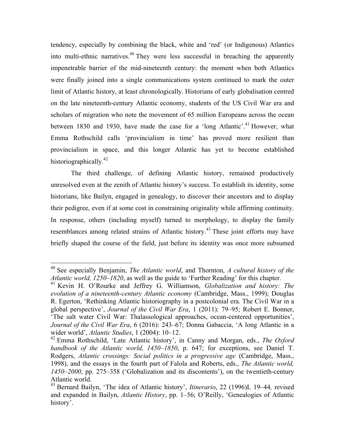tendency, especially by combining the black, white and 'red' (or Indigenous) Atlantics into multi-ethnic narratives.<sup>40</sup> They were less successful in breaching the apparently impenetrable barrier of the mid-nineteenth century: the moment when both Atlantics were finally joined into a single communications system continued to mark the outer limit of Atlantic history, at least chronologically. Historians of early globalisation centred on the late nineteenth-century Atlantic economy, students of the US Civil War era and scholars of migration who note the movement of 65 million Europeans across the ocean between 1830 and 1930, have made the case for a 'long Atlantic'.<sup>41</sup> However, what Emma Rothschild calls 'provincialism in time' has proved more resilient than provincialism in space, and this longer Atlantic has yet to become established historiographically.<sup>42</sup>

The third challenge, of defining Atlantic history, remained productively unresolved even at the zenith of Atlantic history's success. To establish its identity, some historians, like Bailyn, engaged in genealogy, to discover their ancestors and to display their pedigree, even if at some cost in constraining originality while affirming continuity. In response, others (including myself) turned to morphology, to display the family resemblances among related strains of Atlantic history.<sup>43</sup> These joint efforts may have briefly shaped the course of the field, just before its identity was once more subsumed

 <sup>40</sup> See especially Benjamin, *The Atlantic world*, and Thornton, *A cultural history of the Atlantic world, 1250–1820*, as well as the guide to 'Further Reading' for this chapter.

<sup>41</sup> Kevin H. O'Rourke and Jeffrey G. Williamson, *Globalization and history: The evolution of a nineteenth-century Atlantic economy* (Cambridge, Mass., 1999); Douglas R. Egerton, 'Rethinking Atlantic historiography in a postcolonial era. The Civil War in a global perspective', *Journal of the Civil War Era*, 1 (2011): 79–95; Robert E. Bonner, 'The salt water Civil War: Thalassological approaches, ocean-centered opportunities', *Journal of the Civil War Era*, 6 (2016): 243–67; Donna Gabaccia, 'A long Atlantic in a wider world', *Atlantic Studies*, 1 (2004): 10–12.

<sup>42</sup> Emma Rothschild, 'Late Atlantic history', in Canny and Morgan, eds., *The Oxford handbook of the Atlantic world, 1450–1850*, p. 647; for exceptions, see Daniel T. Rodgers, *Atlantic crossings: Social politics in a progressive age* (Cambridge, Mass., 1998), and the essays in the fourth part of Falola and Roberts, eds., *The Atlantic world, 1450–2000*, pp. 275–358 ('Globalization and its discontents'), on the twentieth-century Atlantic world.

<sup>43</sup> Bernard Bailyn, 'The idea of Atlantic history', *Itinerario*, 22 (1996)L 19–44*,* revised and expanded in Bailyn, *Atlantic History*, pp. 1–56; O'Reilly, 'Genealogies of Atlantic history'.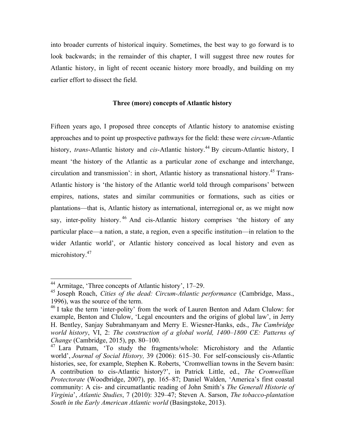into broader currents of historical inquiry. Sometimes, the best way to go forward is to look backwards; in the remainder of this chapter, I will suggest three new routes for Atlantic history, in light of recent oceanic history more broadly, and building on my earlier effort to dissect the field.

## **Three (more) concepts of Atlantic history**

Fifteen years ago, I proposed three concepts of Atlantic history to anatomise existing approaches and to point up prospective pathways for the field: these were *circum*-Atlantic history, *trans*-Atlantic history and *cis*-Atlantic history.<sup>44</sup> By circum-Atlantic history, I meant 'the history of the Atlantic as a particular zone of exchange and interchange, circulation and transmission': in short, Atlantic history as transnational history.<sup>45</sup> Trans-Atlantic history is 'the history of the Atlantic world told through comparisons' between empires, nations, states and similar communities or formations, such as cities or plantations—that is, Atlantic history as international, interregional or, as we might now say, inter-polity history.  $46$  And cis-Atlantic history comprises 'the history of any particular place—a nation, a state, a region, even a specific institution—in relation to the wider Atlantic world', or Atlantic history conceived as local history and even as microhistory.<sup>47</sup>

 <sup>44</sup> Armitage, 'Three concepts of Atlantic history', 17–29.

<sup>45</sup> Joseph Roach, *Cities of the dead: Circum-Atlantic performance* (Cambridge, Mass., 1996), was the source of the term.

<sup>&</sup>lt;sup>46</sup> I take the term 'inter-polity' from the work of Lauren Benton and Adam Clulow: for example, Benton and Clulow, 'Legal encounters and the origins of global law', in Jerry H. Bentley, Sanjay Subrahmanyam and Merry E. Wiesner-Hanks, eds., *The Cambridge world history*, VI, 2: *The construction of a global world, 1400–1800 CE: Patterns of Change* (Cambridge, 2015), pp. 80–100.

<sup>&</sup>lt;sup>47</sup> Lara Putnam, 'To study the fragments/whole: Microhistory and the Atlantic world', *Journal of Social History,* 39 (2006): 615–30. For self-consciously cis-Atlantic histories, see, for example, Stephen K. Roberts, 'Cromwellian towns in the Severn basin: A contribution to cis-Atlantic history?', in Patrick Little, ed., *The Cromwellian Protectorate* (Woodbridge, 2007), pp. 165–87; Daniel Walden, 'America's first coastal community: A cis- and circumatlantic reading of John Smith's *The Generall Historie of Virginia*', *Atlantic Studies*, 7 (2010): 329–47; Steven A. Sarson, *The tobacco-plantation South in the Early American Atlantic world* (Basingstoke, 2013).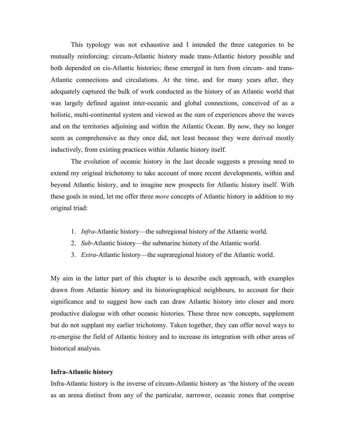This typology was not exhaustive and I intended the three categories to be mutually reinforcing: circum-Atlantic history made trans-Atlantic history possible and both depended on cis-Atlantic histories; these emerged in turn from circum- and trans-Atlantic connections and circulations. At the time, and for many years after, they adequately captured the bulk of work conducted as the history of an Atlantic world that was largely defined against inter-oceanic and global connections, conceived of as a holistic, multi-continental system and viewed as the sum of experiences above the waves and on the territories adjoining and within the Atlantic Ocean. By now, they no longer seem as comprehensive as they once did, not least because they were derived mostly inductively, from existing practices within Atlantic history itself.

The evolution of oceanic history in the last decade suggests a pressing need to extend my original trichotomy to take account of more recent developments, within and beyond Atlantic history, and to imagine new prospects for Atlantic history itself. With these goals in mind, let me offer three *more* concepts of Atlantic history in addition to my original triad:

- 1. *Infra*-Atlantic history—the subregional history of the Atlantic world.
- 2. *Sub*-Atlantic history—the submarine history of the Atlantic world.
- 3. *Extra*-Atlantic history—the supraregional history of the Atlantic world.

My aim in the latter part of this chapter is to describe each approach, with examples drawn from Atlantic history and its historiographical neighbours, to account for their significance and to suggest how each can draw Atlantic history into closer and more productive dialogue with other oceanic histories. These three new concepts, supplement but do not supplant my earlier trichotomy. Taken together, they can offer novel ways to re-energise the field of Atlantic history and to increase its integration with other areas of historical analysis.

#### **Infra-Atlantic history**

Infra-Atlantic history is the inverse of circum-Atlantic history as 'the history of the ocean as an arena distinct from any of the particular, narrower, oceanic zones that comprise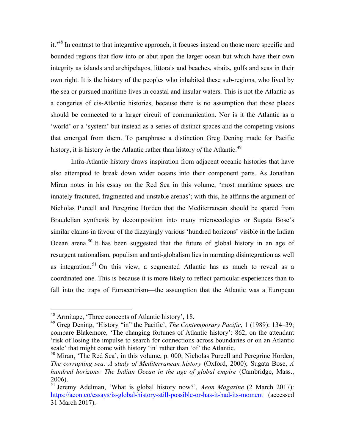it.<sup>48</sup> In contrast to that integrative approach, it focuses instead on those more specific and bounded regions that flow into or abut upon the larger ocean but which have their own integrity as islands and archipelagos, littorals and beaches, straits, gulfs and seas in their own right. It is the history of the peoples who inhabited these sub-regions, who lived by the sea or pursued maritime lives in coastal and insular waters. This is not the Atlantic as a congeries of cis-Atlantic histories, because there is no assumption that those places should be connected to a larger circuit of communication. Nor is it the Atlantic as a 'world' or a 'system' but instead as a series of distinct spaces and the competing visions that emerged from them. To paraphrase a distinction Greg Dening made for Pacific history, it is history *in* the Atlantic rather than history *of* the Atlantic.<sup>49</sup>

Infra-Atlantic history draws inspiration from adjacent oceanic histories that have also attempted to break down wider oceans into their component parts. As Jonathan Miran notes in his essay on the Red Sea in this volume, 'most maritime spaces are innately fractured, fragmented and unstable arenas'; with this, he affirms the argument of Nicholas Purcell and Peregrine Horden that the Mediterranean should be spared from Braudelian synthesis by decomposition into many microecologies or Sugata Bose's similar claims in favour of the dizzyingly various 'hundred horizons' visible in the Indian Ocean arena.<sup>50</sup> It has been suggested that the future of global history in an age of resurgent nationalism, populism and anti-globalism lies in narrating disintegration as well as integration.<sup>51</sup> On this view, a segmented Atlantic has as much to reveal as a coordinated one. This is because it is more likely to reflect particular experiences than to fall into the traps of Eurocentrism—the assumption that the Atlantic was a European

 <sup>48</sup> Armitage, 'Three concepts of Atlantic history', 18.

<sup>49</sup> Greg Dening, 'History "in" the Pacific', *The Contemporary Pacific*, 1 (1989): 134–39; compare Blakemore, 'The changing fortunes of Atlantic history': 862, on the attendant 'risk of losing the impulse to search for connections across boundaries or on an Atlantic scale' that might come with history 'in' rather than 'of' the Atlantic.

<sup>&</sup>lt;sup>50</sup> Miran, 'The Red Sea', in this volume, p. 000; Nicholas Purcell and Peregrine Horden, *The corrupting sea: A study of Mediterranean history* (Oxford, 2000); Sugata Bose, *A hundred horizons: The Indian Ocean in the age of global empire* (Cambridge, Mass., 2006).

<sup>51</sup> Jeremy Adelman, 'What is global history now?', *Aeon Magazine* (2 March 2017): https://aeon.co/essays/is-global-history-still-possible-or-has-it-had-its-moment (accessed 31 March 2017).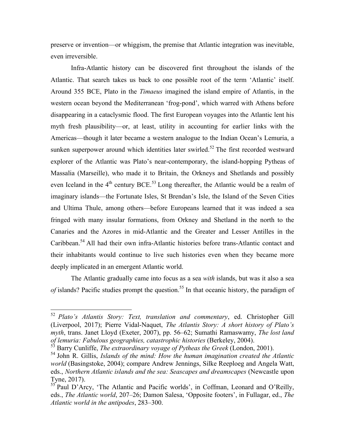preserve or invention—or whiggism, the premise that Atlantic integration was inevitable, even irreversible.

Infra-Atlantic history can be discovered first throughout the islands of the Atlantic. That search takes us back to one possible root of the term 'Atlantic' itself. Around 355 BCE, Plato in the *Timaeus* imagined the island empire of Atlantis, in the western ocean beyond the Mediterranean 'frog-pond', which warred with Athens before disappearing in a cataclysmic flood. The first European voyages into the Atlantic lent his myth fresh plausibility—or, at least, utility in accounting for earlier links with the Americas—though it later became a western analogue to the Indian Ocean's Lemuria, a sunken superpower around which identities later swirled.<sup>52</sup> The first recorded westward explorer of the Atlantic was Plato's near-contemporary, the island-hopping Pytheas of Massalia (Marseille), who made it to Britain, the Orkneys and Shetlands and possibly even Iceland in the  $4<sup>th</sup>$  century BCE.<sup>53</sup> Long thereafter, the Atlantic would be a realm of imaginary islands—the Fortunate Isles, St Brendan's Isle, the Island of the Seven Cities and Ultima Thule, among others—before Europeans learned that it was indeed a sea fringed with many insular formations, from Orkney and Shetland in the north to the Canaries and the Azores in mid-Atlantic and the Greater and Lesser Antilles in the Caribbean. <sup>54</sup> All had their own infra-Atlantic histories before trans-Atlantic contact and their inhabitants would continue to live such histories even when they became more deeply implicated in an emergent Atlantic world.

The Atlantic gradually came into focus as a sea *with* islands, but was it also a sea *of* islands? Pacific studies prompt the question.<sup>55</sup> In that oceanic history, the paradigm of

 <sup>52</sup> *Plato's Atlantis Story: Text, translation and commentary*, ed. Christopher Gill (Liverpool, 2017); Pierre Vidal-Naquet, *The Atlantis Story: A short history of Plato's myth*, trans. Janet Lloyd (Exeter, 2007), pp. 56–62; Sumathi Ramaswamy, *The lost land of lemuria: Fabulous geographies, catastrophic histories* (Berkeley, 2004).

<sup>53</sup> Barry Cunliffe, *The extraordinary voyage of Pytheas the Greek* (London, 2001).

<sup>54</sup> John R. Gillis, *Islands of the mind: How the human imagination created the Atlantic world* (Basingstoke, 2004); compare Andrew Jennings, Silke Reeploeg and Angela Watt, eds., *Northern Atlantic islands and the sea: Seascapes and dreamscapes* (Newcastle upon Tyne, 2017).

<sup>&</sup>lt;sup>55</sup> Paul D'Arcy, 'The Atlantic and Pacific worlds', in Coffman, Leonard and O'Reilly, eds., *The Atlantic world*, 207–26; Damon Salesa, 'Opposite footers', in Fullagar, ed., *The Atlantic world in the antipodes*, 283–300.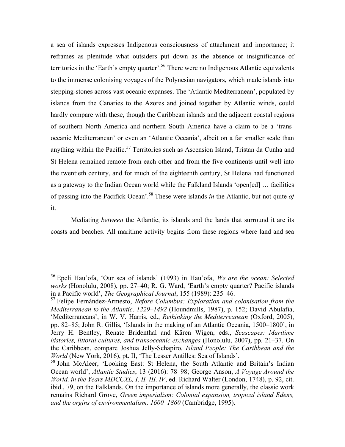a sea of islands expresses Indigenous consciousness of attachment and importance; it reframes as plenitude what outsiders put down as the absence or insignificance of territories in the 'Earth's empty quarter'.<sup>56</sup> There were no Indigenous Atlantic equivalents to the immense colonising voyages of the Polynesian navigators, which made islands into stepping-stones across vast oceanic expanses. The 'Atlantic Mediterranean', populated by islands from the Canaries to the Azores and joined together by Atlantic winds, could hardly compare with these, though the Caribbean islands and the adjacent coastal regions of southern North America and northern South America have a claim to be a 'transoceanic Mediterranean' or even an 'Atlantic Oceania', albeit on a far smaller scale than anything within the Pacific.<sup>57</sup> Territories such as Ascension Island, Tristan da Cunha and St Helena remained remote from each other and from the five continents until well into the twentieth century, and for much of the eighteenth century, St Helena had functioned as a gateway to the Indian Ocean world while the Falkland Islands 'open[ed] … facilities of passing into the Pacifick Ocean'.58 These were islands *in* the Atlantic, but not quite *of* it.

Mediating *between* the Atlantic, its islands and the lands that surround it are its coasts and beaches. All maritime activity begins from these regions where land and sea

 <sup>56</sup> Epeli Hau'ofa, 'Our sea of islands' (1993) in Hau'ofa, *We are the ocean: Selected works* (Honolulu, 2008), pp. 27–40; R. G. Ward, 'Earth's empty quarter? Pacific islands in a Pacific world', *The Geographical Journal*, 155 (1989): 235–46.

<sup>57</sup> Felipe Fernández-Armesto, *Before Columbus: Exploration and colonisation from the Mediterranean to the Atlantic, 1229*–*1492* (Houndmills, 1987), p. 152; David Abulafia, 'Mediterraneans', in W. V. Harris, ed., *Rethinking the Mediterreanean* (Oxford, 2005), pp. 82–85; John R. Gillis, 'Islands in the making of an Atlantic Oceania, 1500–1800', in Jerry H. Bentley, Renate Bridenthal and Kären Wigen, eds., *Seascapes: Maritime histories, littoral cultures, and transoceanic exchanges* (Honolulu, 2007), pp. 21–37. On the Caribbean, compare Joshua Jelly-Schapiro, *Island People: The Caribbean and the World* (New York, 2016), pt. II, 'The Lesser Antilles: Sea of Islands'.

<sup>58</sup> John McAleer, 'Looking East: St Helena, the South Atlantic and Britain's Indian Ocean world', *Atlantic Studies*, 13 (2016): 78–98; George Anson, *A Voyage Around the World, in the Years MDCCXL, I, II, III, IV*, ed. Richard Walter (London, 1748), p. 92, cit. ibid., 79, on the Falklands. On the importance of islands more generally, the classic work remains Richard Grove, *Green imperialism: Colonial expansion, tropical island Edens, and the orgins of environmentalism, 1600–1860* (Cambridge, 1995).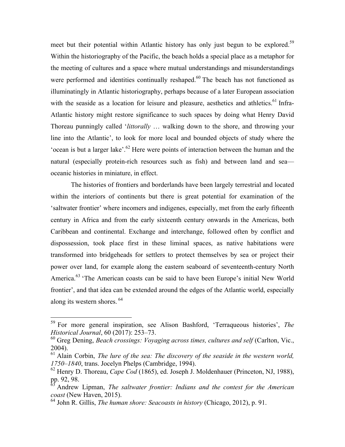meet but their potential within Atlantic history has only just begun to be explored.<sup>59</sup> Within the historiography of the Pacific, the beach holds a special place as a metaphor for the meeting of cultures and a space where mutual understandings and misunderstandings were performed and identities continually reshaped.<sup>60</sup> The beach has not functioned as illuminatingly in Atlantic historiography, perhaps because of a later European association with the seaside as a location for leisure and pleasure, aesthetics and athletics.<sup>61</sup> Infra-Atlantic history might restore significance to such spaces by doing what Henry David Thoreau punningly called '*littorally* … walking down to the shore, and throwing your line into the Atlantic', to look for more local and bounded objects of study where the 'ocean is but a larger lake'.<sup>62</sup> Here were points of interaction between the human and the natural (especially protein-rich resources such as fish) and between land and sea oceanic histories in miniature, in effect.

The histories of frontiers and borderlands have been largely terrestrial and located within the interiors of continents but there is great potential for examination of the 'saltwater frontier' where incomers and indigenes, especially, met from the early fifteenth century in Africa and from the early sixteenth century onwards in the Americas, both Caribbean and continental. Exchange and interchange, followed often by conflict and dispossession, took place first in these liminal spaces, as native habitations were transformed into bridgeheads for settlers to protect themselves by sea or project their power over land, for example along the eastern seaboard of seventeenth-century North America.<sup>63</sup> 'The American coasts can be said to have been Europe's initial New World frontier', and that idea can be extended around the edges of the Atlantic world, especially along its western shores. <sup>64</sup>

 <sup>59</sup> For more general inspiration, see Alison Bashford, 'Terraqueous histories', *The Historical Journal*, 60 (2017): 253–73.

<sup>60</sup> Greg Dening, *Beach crossings: Voyaging across times, cultures and self* (Carlton, Vic., 2004).

<sup>61</sup> Alain Corbin, *The lure of the sea: The discovery of the seaside in the western world, 1750–1840*, trans. Jocelyn Phelps (Cambridge, 1994).

<sup>62</sup> Henry D. Thoreau, *Cape Cod* (1865), ed. Joseph J. Moldenhauer (Princeton, NJ, 1988), pp. 92, 98.

<sup>63</sup> Andrew Lipman, *The saltwater frontier: Indians and the contest for the American coast* (New Haven, 2015).

<sup>64</sup> John R. Gillis, *The human shore: Seacoasts in history* (Chicago, 2012), p. 91.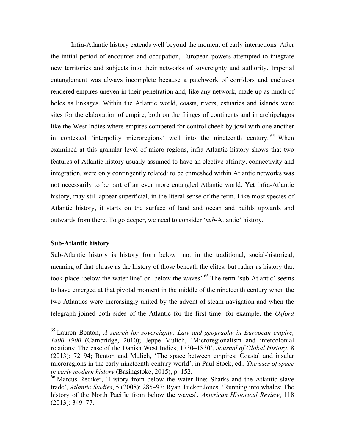Infra-Atlantic history extends well beyond the moment of early interactions. After the initial period of encounter and occupation, European powers attempted to integrate new territories and subjects into their networks of sovereignty and authority. Imperial entanglement was always incomplete because a patchwork of corridors and enclaves rendered empires uneven in their penetration and, like any network, made up as much of holes as linkages. Within the Atlantic world, coasts, rivers, estuaries and islands were sites for the elaboration of empire, both on the fringes of continents and in archipelagos like the West Indies where empires competed for control cheek by jowl with one another in contested 'interpolity microregions' well into the nineteenth century. <sup>65</sup> When examined at this granular level of micro-regions, infra-Atlantic history shows that two features of Atlantic history usually assumed to have an elective affinity, connectivity and integration, were only contingently related: to be enmeshed within Atlantic networks was not necessarily to be part of an ever more entangled Atlantic world. Yet infra-Atlantic history, may still appear superficial, in the literal sense of the term. Like most species of Atlantic history, it starts on the surface of land and ocean and builds upwards and outwards from there. To go deeper, we need to consider '*sub*-Atlantic' history.

## **Sub-Atlantic history**

Sub-Atlantic history is history from below—not in the traditional, social-historical, meaning of that phrase as the history of those beneath the elites, but rather as history that took place 'below the water line' or 'below the waves'.<sup>66</sup> The term 'sub-Atlantic' seems to have emerged at that pivotal moment in the middle of the nineteenth century when the two Atlantics were increasingly united by the advent of steam navigation and when the telegraph joined both sides of the Atlantic for the first time: for example, the *Oxford* 

 <sup>65</sup> Lauren Benton, *A search for sovereignty: Law and geography in European empire, 1400–1900* (Cambridge, 2010); Jeppe Mulich, 'Microregionalism and intercolonial relations: The case of the Danish West Indies, 1730–1830', *Journal of Global History*, 8 (2013): 72–94; Benton and Mulich, 'The space between empires: Coastal and insular microregions in the early nineteenth-century world', in Paul Stock, ed., *The uses of space in early modern history* (Basingstoke, 2015), p. 152.<br><sup>66</sup> Marcus Rediker, 'History from below the water line: Sharks and the Atlantic slave

trade', *Atlantic Studies*, 5 (2008): 285–97; Ryan Tucker Jones, 'Running into whales: The history of the North Pacific from below the waves', *American Historical Review*, 118 (2013): 349–77.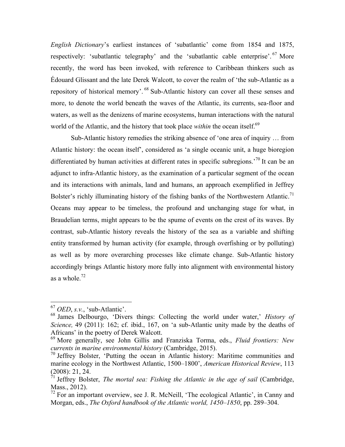*English Dictionary*'s earliest instances of 'subatlantic' come from 1854 and 1875, respectively: 'subatlantic telegraphy' and the 'subatlantic cable enterprise'. <sup>67</sup> More recently, the word has been invoked, with reference to Caribbean thinkers such as Édouard Glissant and the late Derek Walcott, to cover the realm of 'the sub-Atlantic as a repository of historical memory'. <sup>68</sup> Sub-Atlantic history can cover all these senses and more, to denote the world beneath the waves of the Atlantic, its currents, sea-floor and waters, as well as the denizens of marine ecosystems, human interactions with the natural world of the Atlantic, and the history that took place *within* the ocean itself.<sup>69</sup>

Sub-Atlantic history remedies the striking absence of 'one area of inquiry … from Atlantic history: the ocean itself', considered as 'a single oceanic unit, a huge bioregion differentiated by human activities at different rates in specific subregions.<sup>70</sup> It can be an adjunct to infra-Atlantic history, as the examination of a particular segment of the ocean and its interactions with animals, land and humans, an approach exemplified in Jeffrey Bolster's richly illuminating history of the fishing banks of the Northwestern Atlantic.<sup>71</sup> Oceans may appear to be timeless, the profound and unchanging stage for what, in Braudelian terms, might appears to be the spume of events on the crest of its waves. By contrast, sub-Atlantic history reveals the history of the sea as a variable and shifting entity transformed by human activity (for example, through overfishing or by polluting) as well as by more overarching processes like climate change. Sub-Atlantic history accordingly brings Atlantic history more fully into alignment with environmental history as a whole. $72$ 

 <sup>67</sup> *OED*, *s.v.*, 'sub-Atlantic'.

<sup>68</sup> James Delbourgo, 'Divers things: Collecting the world under water,' *History of Science,* 49 (2011): 162; cf. ibid., 167, on 'a sub-Atlantic unity made by the deaths of Africans' in the poetry of Derek Walcott.

<sup>69</sup> More generally, see John Gillis and Franziska Torma, eds., *Fluid frontiers: New currents in marine environmental history* (Cambridge, 2015).

 $70$  Jeffrey Bolster, 'Putting the ocean in Atlantic history: Maritime communities and marine ecology in the Northwest Atlantic, 1500–1800', *American Historical Review*, 113 (2008): 21, 24.

 $\hat{J}^1$  Jeffrey Bolster, *The mortal sea: Fishing the Atlantic in the age of sail* (Cambridge, Mass., 2012).

 $<sup>72</sup>$  For an important overview, see J. R. McNeill, 'The ecological Atlantic', in Canny and</sup> Morgan, eds., *The Oxford handbook of the Atlantic world, 1450–1850*, pp. 289–304.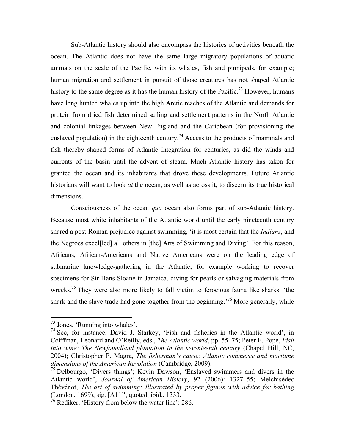Sub-Atlantic history should also encompass the histories of activities beneath the ocean. The Atlantic does not have the same large migratory populations of aquatic animals on the scale of the Pacific, with its whales, fish and pinnipeds, for example; human migration and settlement in pursuit of those creatures has not shaped Atlantic history to the same degree as it has the human history of the Pacific.<sup>73</sup> However, humans have long hunted whales up into the high Arctic reaches of the Atlantic and demands for protein from dried fish determined sailing and settlement patterns in the North Atlantic and colonial linkages between New England and the Caribbean (for provisioning the enslaved population) in the eighteenth century.<sup>74</sup> Access to the products of mammals and fish thereby shaped forms of Atlantic integration for centuries, as did the winds and currents of the basin until the advent of steam. Much Atlantic history has taken for granted the ocean and its inhabitants that drove these developments. Future Atlantic historians will want to look *at* the ocean, as well as across it, to discern its true historical dimensions.

Consciousness of the ocean *qua* ocean also forms part of sub-Atlantic history. Because most white inhabitants of the Atlantic world until the early nineteenth century shared a post-Roman prejudice against swimming, 'it is most certain that the *Indians*, and the Negroes excel[led] all others in [the] Arts of Swimming and Diving'. For this reason, Africans, African-Americans and Native Americans were on the leading edge of submarine knowledge-gathering in the Atlantic, for example working to recover specimens for Sir Hans Sloane in Jamaica, diving for pearls or salvaging materials from wrecks.<sup>75</sup> They were also more likely to fall victim to ferocious fauna like sharks: 'the shark and the slave trade had gone together from the beginning.<sup>76</sup> More generally, while

 <sup>73</sup> Jones, 'Running into whales'.

<sup>74</sup> See, for instance, David J. Starkey, 'Fish and fisheries in the Atlantic world', in Cofffman, Leonard and O'Reilly, eds., *The Atlantic world*, pp. 55–75; Peter E. Pope, *Fish into wine: The Newfoundland plantation in the seventeenth century* (Chapel Hill, NC, 2004); Christopher P. Magra, *The fisherman's cause: Atlantic commerce and maritime dimensions of the American Revolution* (Cambridge, 2009).

<sup>&</sup>lt;sup>75</sup> Delbourgo, 'Divers things'; Kevin Dawson, 'Enslaved swimmers and divers in the Atlantic world', *Journal of American History*, 92 (2006): 1327–55; Melchisédec Thévénot, *The art of swimming: Illustrated by proper figures with advice for bathing*   $(London, 1699), sig. [A11]<sup>r</sup>, quoted, ibid., 1333.$ 

 $76$  Rediker, 'History from below the water line': 286.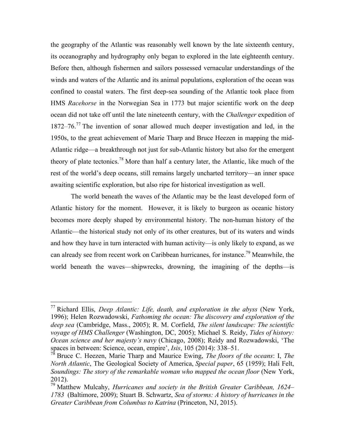the geography of the Atlantic was reasonably well known by the late sixteenth century, its oceanography and hydrography only began to explored in the late eighteenth century. Before then, although fishermen and sailors possessed vernacular understandings of the winds and waters of the Atlantic and its animal populations, exploration of the ocean was confined to coastal waters. The first deep-sea sounding of the Atlantic took place from HMS *Racehorse* in the Norwegian Sea in 1773 but major scientific work on the deep ocean did not take off until the late nineteenth century, with the *Challenger* expedition of 1872–76.<sup>77</sup> The invention of sonar allowed much deeper investigation and led, in the 1950s, to the great achievement of Marie Tharp and Bruce Heezen in mapping the mid-Atlantic ridge—a breakthrough not just for sub-Atlantic history but also for the emergent theory of plate tectonics.<sup>78</sup> More than half a century later, the Atlantic, like much of the rest of the world's deep oceans, still remains largely uncharted territory—an inner space awaiting scientific exploration, but also ripe for historical investigation as well.

The world beneath the waves of the Atlantic may be the least developed form of Atlantic history for the moment. However, it is likely to burgeon as oceanic history becomes more deeply shaped by environmental history. The non-human history of the Atlantic—the historical study not only of its other creatures, but of its waters and winds and how they have in turn interacted with human activity—is only likely to expand, as we can already see from recent work on Caribbean hurricanes, for instance.<sup>79</sup> Meanwhile, the world beneath the waves—shipwrecks, drowning, the imagining of the depths—is

 <sup>77</sup> Richard Ellis, *Deep Atlantic: Life, death, and exploration in the abyss* (New York, 1996); Helen Rozwadowski, *Fathoming the ocean: The discovery and exploration of the deep sea* (Cambridge, Mass., 2005); R. M. Corfield, *The silent landscape: The scientific voyage of HMS Challenger* (Washington, DC, 2005); Michael S. Reidy, *Tides of history: Ocean science and her majesty's navy* (Chicago, 2008); Reidy and Rozwadowski, 'The spaces in between: Science, ocean, empire', *Isis*, 105 (2014): 338–51.

<sup>78</sup> Bruce C. Heezen, Marie Tharp and Maurice Ewing, *The floors of the oceans*: I, *The North Atlantic*, The Geological Society of America, *Special paper*, 65 (1959); Hali Felt, *Soundings: The story of the remarkable woman who mapped the ocean floor* (New York, 2012).

<sup>79</sup> Matthew Mulcahy, *Hurricanes and society in the British Greater Caribbean, 1624– 1783* (Baltimore, 2009); Stuart B. Schwartz, *Sea of storms: A history of hurricanes in the Greater Caribbean from Columbus to Katrina* (Princeton, NJ, 2015).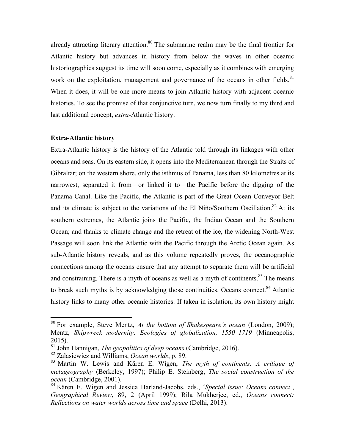already attracting literary attention. $80$  The submarine realm may be the final frontier for Atlantic history but advances in history from below the waves in other oceanic historiographies suggest its time will soon come, especially as it combines with emerging work on the exploitation, management and governance of the oceans in other fields.<sup>81</sup> When it does, it will be one more means to join Atlantic history with adjacent oceanic histories. To see the promise of that conjunctive turn, we now turn finally to my third and last additional concept, *extra*-Atlantic history.

### **Extra-Atlantic history**

Extra-Atlantic history is the history of the Atlantic told through its linkages with other oceans and seas. On its eastern side, it opens into the Mediterranean through the Straits of Gibraltar; on the western shore, only the isthmus of Panama, less than 80 kilometres at its narrowest, separated it from—or linked it to—the Pacific before the digging of the Panama Canal. Like the Pacific, the Atlantic is part of the Great Ocean Conveyor Belt and its climate is subject to the variations of the El Niño/Southern Oscillation.<sup>82</sup> At its southern extremes, the Atlantic joins the Pacific, the Indian Ocean and the Southern Ocean; and thanks to climate change and the retreat of the ice, the widening North-West Passage will soon link the Atlantic with the Pacific through the Arctic Ocean again. As sub-Atlantic history reveals, and as this volume repeatedly proves, the oceanographic connections among the oceans ensure that any attempt to separate them will be artificial and constraining. There is a myth of oceans as well as a myth of continents. $83$  The means to break such myths is by acknowledging those continuities. Oceans connect.<sup>84</sup> Atlantic history links to many other oceanic histories. If taken in isolation, its own history might

 <sup>80</sup> For example, Steve Mentz, *At the bottom of Shakespeare's ocean* (London, 2009); Mentz, *Shipwreck modernity: Ecologies of globalization, 1550–1719* (Minneapolis, 2015).

<sup>81</sup> John Hannigan, *The geopolitics of deep oceans* (Cambridge, 2016).

<sup>82</sup> Zalasiewicz and Williams, *Ocean worlds*, p. 89.

<sup>83</sup> Martin W. Lewis and Kären E. Wigen, *The myth of continents: A critique of metageography* (Berkeley, 1997); Philip E. Steinberg, *The social construction of the ocean* (Cambridge, 2001).

<sup>84</sup> Kären E. Wigen and Jessica Harland-Jacobs, eds., '*Special issue: Oceans connect'*, *Geographical Review*, 89, 2 (April 1999); Rila Mukherjee, ed., *Oceans connect: Reflections on water worlds across time and space* (Delhi, 2013).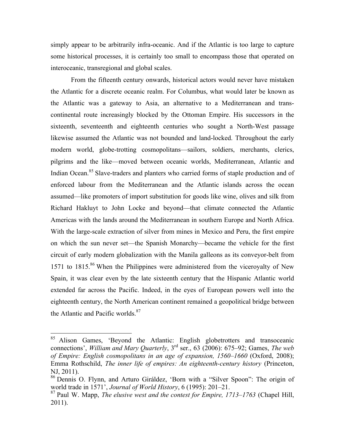simply appear to be arbitrarily infra-oceanic. And if the Atlantic is too large to capture some historical processes, it is certainly too small to encompass those that operated on interoceanic, transregional and global scales.

From the fifteenth century onwards, historical actors would never have mistaken the Atlantic for a discrete oceanic realm. For Columbus, what would later be known as the Atlantic was a gateway to Asia, an alternative to a Mediterranean and transcontinental route increasingly blocked by the Ottoman Empire. His successors in the sixteenth, seventeenth and eighteenth centuries who sought a North-West passage likewise assumed the Atlantic was not bounded and land-locked. Throughout the early modern world, globe-trotting cosmopolitans—sailors, soldiers, merchants, clerics, pilgrims and the like—moved between oceanic worlds, Mediterranean, Atlantic and Indian Ocean.<sup>85</sup> Slave-traders and planters who carried forms of staple production and of enforced labour from the Mediterranean and the Atlantic islands across the ocean assumed—like promoters of import substitution for goods like wine, olives and silk from Richard Hakluyt to John Locke and beyond—that climate connected the Atlantic Americas with the lands around the Mediterranean in southern Europe and North Africa. With the large-scale extraction of silver from mines in Mexico and Peru, the first empire on which the sun never set—the Spanish Monarchy—became the vehicle for the first circuit of early modern globalization with the Manila galleons as its conveyor-belt from 1571 to 1815.<sup>86</sup> When the Philippines were administered from the viceroyalty of New Spain, it was clear even by the late sixteenth century that the Hispanic Atlantic world extended far across the Pacific. Indeed, in the eyes of European powers well into the eighteenth century, the North American continent remained a geopolitical bridge between the Atlantic and Pacific worlds.<sup>87</sup>

<sup>&</sup>lt;sup>85</sup> Alison Games, 'Beyond the Atlantic: English globetrotters and transoceanic connections', *William and Mary Quarterly*, 3rd ser., 63 (2006): 675–92; Games, *The web of Empire: English cosmopolitans in an age of expansion, 1560–1660* (Oxford, 2008); Emma Rothschild, *The inner life of empires: An eighteenth-century history* (Princeton, NJ, 2011).

<sup>86</sup> Dennis O. Flynn, and Arturo Giráldez, 'Born with a "Silver Spoon": The origin of world trade in 1571', *Journal of World History*, 6 (1995): 201–21.

<sup>87</sup> Paul W. Mapp, *The elusive west and the contest for Empire, 1713–1763* (Chapel Hill, 2011).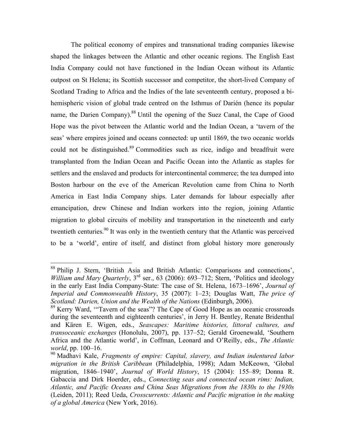The political economy of empires and transnational trading companies likewise shaped the linkages between the Atlantic and other oceanic regions. The English East India Company could not have functioned in the Indian Ocean without its Atlantic outpost on St Helena; its Scottish successor and competitor, the short-lived Company of Scotland Trading to Africa and the Indies of the late seventeenth century, proposed a bihemispheric vision of global trade centred on the Isthmus of Darién (hence its popular name, the Darien Company).<sup>88</sup> Until the opening of the Suez Canal, the Cape of Good Hope was the pivot between the Atlantic world and the Indian Ocean, a 'tavern of the seas' where empires joined and oceans connected: up until 1869, the two oceanic worlds could not be distinguished.<sup>89</sup> Commodities such as rice, indigo and breadfruit were transplanted from the Indian Ocean and Pacific Ocean into the Atlantic as staples for settlers and the enslaved and products for intercontinental commerce; the tea dumped into Boston harbour on the eve of the American Revolution came from China to North America in East India Company ships. Later demands for labour especially after emancipation, drew Chinese and Indian workers into the region, joining Atlantic migration to global circuits of mobility and transportation in the nineteenth and early twentieth centuries.<sup>90</sup> It was only in the twentieth century that the Atlantic was perceived to be a 'world', entire of itself, and distinct from global history more generously

 <sup>88</sup> Philip J. Stern, 'British Asia and British Atlantic: Comparisons and connections', *William and Mary Quarterly*, 3<sup>rd</sup> ser., 63 (2006): 693–712; Stern, 'Politics and ideology in the early East India Company-State: The case of St. Helena, 1673–1696', *Journal of Imperial and Commonwealth History*, 35 (2007): 1–23; Douglas Watt, *The price of Scotland: Darien, Union and the Wealth of the Nations* (Edinburgh, 2006).

<sup>&</sup>lt;sup>89</sup> Kerry Ward, "Tavern of the seas"? The Cape of Good Hope as an oceanic crossroads during the seventeenth and eighteenth centuries', in Jerry H. Bentley, Renate Bridenthal and Kären E. Wigen, eds., *Seascapes: Maritime histories, littoral cultures, and transoceanic exchanges* (Honolulu, 2007), pp. 137–52; Gerald Groenewald, 'Southern Africa and the Atlantic world', in Coffman, Leonard and O'Reilly, eds., *The Atlantic world*, pp. 100–16.

<sup>90</sup> Madhavi Kale, *Fragments of empire: Capital, slavery, and Indian indentured labor migration in the British Caribbean* (Philadelphia, 1998); Adam McKeown, 'Global migration, 1846–1940', *Journal of World History*, 15 (2004): 155–89; Donna R. Gabaccia and Dirk Hoerder, eds., *Connecting seas and connected ocean rims: Indian, Atlantic, and Pacific Oceans and China Seas Migrations from the 1830s to the 1930s*  (Leiden, 2011); Reed Ueda, *Crosscurrents: Atlantic and Pacific migration in the making of a global America* (New York, 2016).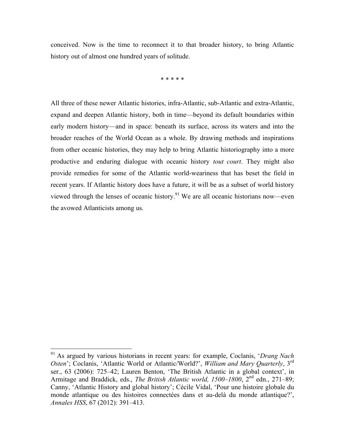conceived. Now is the time to reconnect it to that broader history, to bring Atlantic history out of almost one hundred years of solitude.

\* \* \* \* \*

All three of these newer Atlantic histories, infra-Atlantic, sub-Atlantic and extra-Atlantic, expand and deepen Atlantic history, both in time—beyond its default boundaries within early modern history—and in space: beneath its surface, across its waters and into the broader reaches of the World Ocean as a whole. By drawing methods and inspirations from other oceanic histories, they may help to bring Atlantic historiography into a more productive and enduring dialogue with oceanic history *tout court*. They might also provide remedies for some of the Atlantic world-weariness that has beset the field in recent years. If Atlantic history does have a future, it will be as a subset of world history viewed through the lenses of oceanic history.91 We are all oceanic historians now—even the avowed Atlanticists among us.

 <sup>91</sup> As argued by various historians in recent years: for example, Coclanis, '*Drang Nach Osten*'; Coclanis, 'Atlantic World or Atlantic/World?', *William and Mary Quarterly*, 3rd ser., 63 (2006): 725–42; Lauren Benton, 'The British Atlantic in a global context', in Armitage and Braddick, eds., *The British Atlantic world, 1500–1800*, 2<sup>nd</sup> edn., 271–89; Canny, 'Atlantic History and global history'; Cécile Vidal, 'Pour une histoire globale du monde atlantique ou des histoires connectées dans et au-delà du monde atlantique?', *Annales HSS*, 67 (2012): 391–413.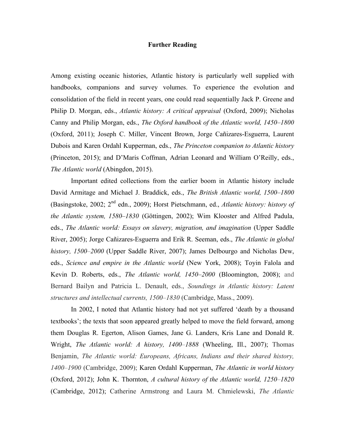#### **Further Reading**

Among existing oceanic histories, Atlantic history is particularly well supplied with handbooks, companions and survey volumes. To experience the evolution and consolidation of the field in recent years, one could read sequentially Jack P. Greene and Philip D. Morgan, eds., *Atlantic history: A critical appraisal* (Oxford, 2009); Nicholas Canny and Philip Morgan, eds., *The Oxford handbook of the Atlantic world, 1450*–*1800* (Oxford, 2011); Joseph C. Miller, Vincent Brown, Jorge Cañizares-Esguerra, Laurent Dubois and Karen Ordahl Kupperman, eds., *The Princeton companion to Atlantic history* (Princeton, 2015); and D'Maris Coffman, Adrian Leonard and William O'Reilly, eds., *The Atlantic world* (Abingdon, 2015).

Important edited collections from the earlier boom in Atlantic history include David Armitage and Michael J. Braddick, eds., *The British Atlantic world, 1500–1800*  (Basingstoke, 2002; 2nd edn., 2009); Horst Pietschmann, ed., *Atlantic history: history of the Atlantic system, 1580–1830* (Göttingen, 2002); Wim Klooster and Alfred Padula, eds., *The Atlantic world: Essays on slavery, migration, and imagination* (Upper Saddle River, 2005); Jorge Cañizares-Esguerra and Erik R. Seeman, eds., *The Atlantic in global history, 1500–2000* (Upper Saddle River, 2007); James Delbourgo and Nicholas Dew, eds., *Science and empire in the Atlantic world* (New York, 2008); Toyin Falola and Kevin D. Roberts, eds., *The Atlantic world, 1450–2000* (Bloomington, 2008); and Bernard Bailyn and Patricia L. Denault, eds., *Soundings in Atlantic history: Latent structures and intellectual currents, 1500–1830* (Cambridge, Mass., 2009).

In 2002, I noted that Atlantic history had not yet suffered 'death by a thousand textbooks'; the texts that soon appeared greatly helped to move the field forward, among them Douglas R. Egerton, Alison Games, Jane G. Landers, Kris Lane and Donald R. Wright, *The Atlantic world: A history, 1400–1888* (Wheeling, Ill., 2007); Thomas Benjamin, *The Atlantic world: Europeans, Africans, Indians and their shared history, 1400–1900* (Cambridge, 2009); Karen Ordahl Kupperman, *The Atlantic in world history* (Oxford, 2012); John K. Thornton, *A cultural history of the Atlantic world, 1250–1820* (Cambridge, 2012); Catherine Armstrong and Laura M. Chmielewski, *The Atlantic*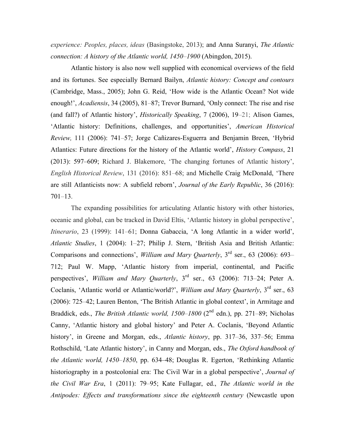*experience: Peoples, places, ideas* (Basingstoke, 2013); and Anna Suranyi, *The Atlantic connection: A history of the Atlantic world, 1450–1900* (Abingdon, 2015).

Atlantic history is also now well supplied with economical overviews of the field and its fortunes. See especially Bernard Bailyn, *Atlantic history: Concept and contours* (Cambridge, Mass., 2005); John G. Reid, 'How wide is the Atlantic Ocean? Not wide enough!', *Acadiensis*, 34 (2005), 81–87; Trevor Burnard, 'Only connect: The rise and rise (and fall?) of Atlantic history', *Historically Speaking*, 7 (2006), 19–21; Alison Games, 'Atlantic history: Definitions, challenges, and opportunities', *American Historical Review,* 111 (2006): 741–57; Jorge Cañizares-Esguerra and Benjamin Breen, 'Hybrid Atlantics: Future directions for the history of the Atlantic world', *History Compass*, 21 (2013): 597–609; Richard J. Blakemore, 'The changing fortunes of Atlantic history', *English Historical Review*, 131 (2016): 851–68; and Michelle Craig McDonald, 'There are still Atlanticists now: A subfield reborn', *Journal of the Early Republic*, 36 (2016):  $701-13.$ 

The expanding possibilities for articulating Atlantic history with other histories, oceanic and global, can be tracked in David Eltis, 'Atlantic history in global perspective', *Itinerario*, 23 (1999): 141–61; Donna Gabaccia, 'A long Atlantic in a wider world', *Atlantic Studies*, 1 (2004): 1–27; Philip J. Stern, 'British Asia and British Atlantic: Comparisons and connections', *William and Mary Quarterly*, 3<sup>rd</sup> ser., 63 (2006): 693– 712; Paul W. Mapp, 'Atlantic history from imperial, continental, and Pacific perspectives', *William and Mary Quarterly*, 3rd ser., 63 (2006): 713–24; Peter A. Coclanis, 'Atlantic world or Atlantic/world?', *William and Mary Quarterly*, 3<sup>rd</sup> ser., 63 (2006): 725–42; Lauren Benton, 'The British Atlantic in global context', in Armitage and Braddick, eds., *The British Atlantic world, 1500–1800* (2<sup>nd</sup> edn.), pp. 271–89; Nicholas Canny, 'Atlantic history and global history' and Peter A. Coclanis, 'Beyond Atlantic history', in Greene and Morgan, eds., *Atlantic history*, pp. 317–36, 337–56; Emma Rothschild, 'Late Atlantic history', in Canny and Morgan, eds., *The Oxford handbook of the Atlantic world, 1450–1850*, pp. 634–48; Douglas R. Egerton, 'Rethinking Atlantic historiography in a postcolonial era: The Civil War in a global perspective', *Journal of the Civil War Era*, 1 (2011): 79–95; Kate Fullagar, ed., *The Atlantic world in the Antipodes: Effects and transformations since the eighteenth century* (Newcastle upon